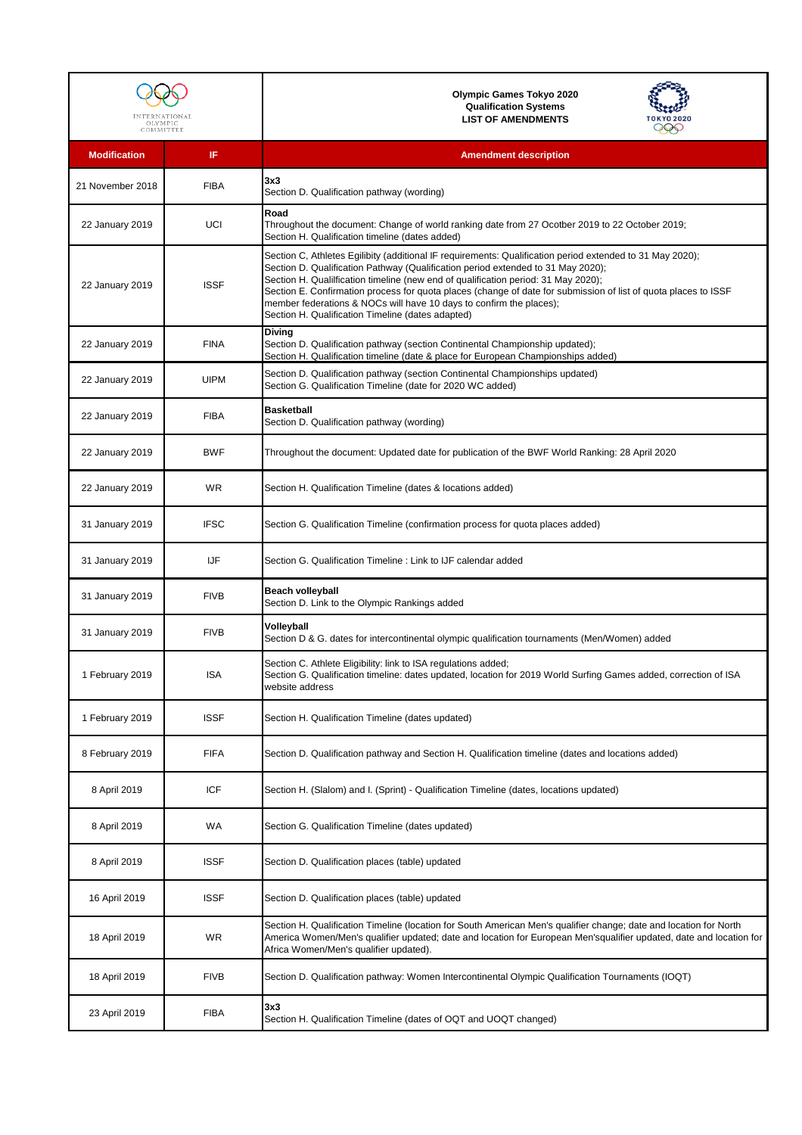| OLYMPIC<br>COMMITTEE |             | <b>Olympic Games Tokyo 2020</b><br><b>Qualification Systems</b><br><b>LIST OF AMENDMENTS</b>                                                                                                                                                                                                                                                                                                                                                                                                                                       |
|----------------------|-------------|------------------------------------------------------------------------------------------------------------------------------------------------------------------------------------------------------------------------------------------------------------------------------------------------------------------------------------------------------------------------------------------------------------------------------------------------------------------------------------------------------------------------------------|
| <b>Modification</b>  | IF          | <b>Amendment description</b>                                                                                                                                                                                                                                                                                                                                                                                                                                                                                                       |
| 21 November 2018     | <b>FIBA</b> | 3x3<br>Section D. Qualification pathway (wording)                                                                                                                                                                                                                                                                                                                                                                                                                                                                                  |
| 22 January 2019      | <b>UCI</b>  | Road<br>Throughout the document: Change of world ranking date from 27 Ocotber 2019 to 22 October 2019;<br>Section H. Qualification timeline (dates added)                                                                                                                                                                                                                                                                                                                                                                          |
| 22 January 2019      | <b>ISSF</b> | Section C, Athletes Egilibity (additional IF requirements: Qualification period extended to 31 May 2020);<br>Section D. Qualification Pathway (Qualification period extended to 31 May 2020);<br>Section H. Qualilfication timeline (new end of qualification period: 31 May 2020);<br>Section E. Confirmation process for quota places (change of date for submission of list of quota places to ISSF<br>member federations & NOCs will have 10 days to confirm the places);<br>Section H. Qualification Timeline (dates adapted) |
| 22 January 2019      | <b>FINA</b> | <b>Diving</b><br>Section D. Qualification pathway (section Continental Championship updated);<br>Section H. Qualification timeline (date & place for European Championships added)                                                                                                                                                                                                                                                                                                                                                 |
| 22 January 2019      | <b>UIPM</b> | Section D. Qualification pathway (section Continental Championships updated)<br>Section G. Qualification Timeline (date for 2020 WC added)                                                                                                                                                                                                                                                                                                                                                                                         |
| 22 January 2019      | <b>FIBA</b> | <b>Basketball</b><br>Section D. Qualification pathway (wording)                                                                                                                                                                                                                                                                                                                                                                                                                                                                    |
| 22 January 2019      | <b>BWF</b>  | Throughout the document: Updated date for publication of the BWF World Ranking: 28 April 2020                                                                                                                                                                                                                                                                                                                                                                                                                                      |
| 22 January 2019      | <b>WR</b>   | Section H. Qualification Timeline (dates & locations added)                                                                                                                                                                                                                                                                                                                                                                                                                                                                        |
| 31 January 2019      | <b>IFSC</b> | Section G. Qualification Timeline (confirmation process for quota places added)                                                                                                                                                                                                                                                                                                                                                                                                                                                    |
| 31 January 2019      | <b>IJF</b>  | Section G. Qualification Timeline : Link to IJF calendar added                                                                                                                                                                                                                                                                                                                                                                                                                                                                     |
| 31 January 2019      | <b>FIVB</b> | <b>Beach volleyball</b><br>Section D. Link to the Olympic Rankings added                                                                                                                                                                                                                                                                                                                                                                                                                                                           |
| 31 January 2019      | <b>FIVB</b> | Volleyball<br>Section D & G. dates for intercontinental olympic qualification tournaments (Men/Women) added                                                                                                                                                                                                                                                                                                                                                                                                                        |
| 1 February 2019      | <b>ISA</b>  | Section C. Athlete Eligibility: link to ISA regulations added;<br>Section G. Qualification timeline: dates updated, location for 2019 World Surfing Games added, correction of ISA<br>website address                                                                                                                                                                                                                                                                                                                              |
| 1 February 2019      | <b>ISSF</b> | Section H. Qualification Timeline (dates updated)                                                                                                                                                                                                                                                                                                                                                                                                                                                                                  |
| 8 February 2019      | <b>FIFA</b> | Section D. Qualification pathway and Section H. Qualification timeline (dates and locations added)                                                                                                                                                                                                                                                                                                                                                                                                                                 |
| 8 April 2019         | <b>ICF</b>  | Section H. (Slalom) and I. (Sprint) - Qualification Timeline (dates, locations updated)                                                                                                                                                                                                                                                                                                                                                                                                                                            |
| 8 April 2019         | <b>WA</b>   | Section G. Qualification Timeline (dates updated)                                                                                                                                                                                                                                                                                                                                                                                                                                                                                  |
| 8 April 2019         | <b>ISSF</b> | Section D. Qualification places (table) updated                                                                                                                                                                                                                                                                                                                                                                                                                                                                                    |
| 16 April 2019        | <b>ISSF</b> | Section D. Qualification places (table) updated                                                                                                                                                                                                                                                                                                                                                                                                                                                                                    |
| 18 April 2019        | <b>WR</b>   | Section H. Qualification Timeline (location for South American Men's qualifier change; date and location for North<br>America Women/Men's qualifier updated; date and location for European Men'squalifier updated, date and location for<br>Africa Women/Men's qualifier updated).                                                                                                                                                                                                                                                |
| 18 April 2019        | <b>FIVB</b> | Section D. Qualification pathway: Women Intercontinental Olympic Qualification Tournaments (IOQT)                                                                                                                                                                                                                                                                                                                                                                                                                                  |
| 23 April 2019        | <b>FIBA</b> | 3x3<br>Section H. Qualification Timeline (dates of OQT and UOQT changed)                                                                                                                                                                                                                                                                                                                                                                                                                                                           |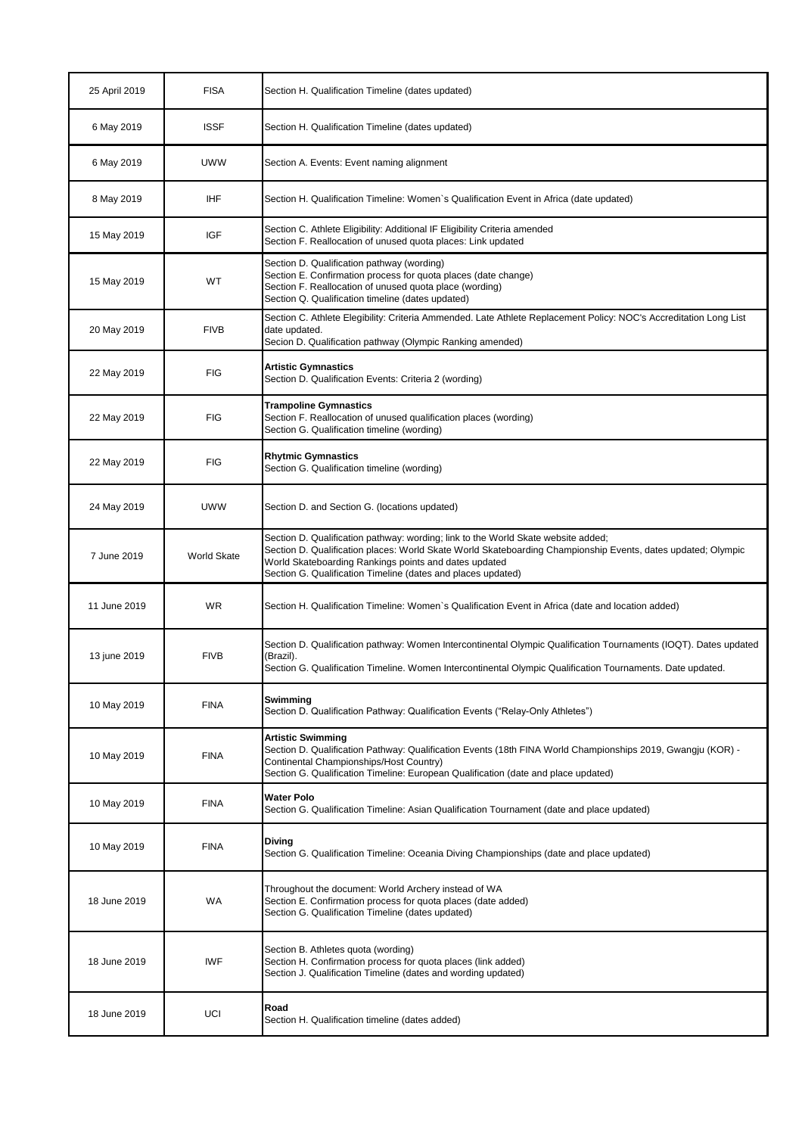| 25 April 2019 | <b>FISA</b>        | Section H. Qualification Timeline (dates updated)                                                                                                                                                                                                                                                                          |
|---------------|--------------------|----------------------------------------------------------------------------------------------------------------------------------------------------------------------------------------------------------------------------------------------------------------------------------------------------------------------------|
| 6 May 2019    | <b>ISSF</b>        | Section H. Qualification Timeline (dates updated)                                                                                                                                                                                                                                                                          |
| 6 May 2019    | <b>UWW</b>         | Section A. Events: Event naming alignment                                                                                                                                                                                                                                                                                  |
| 8 May 2019    | <b>IHF</b>         | Section H. Qualification Timeline: Women's Qualification Event in Africa (date updated)                                                                                                                                                                                                                                    |
| 15 May 2019   | <b>IGF</b>         | Section C. Athlete Eligibility: Additional IF Eligibility Criteria amended<br>Section F. Reallocation of unused quota places: Link updated                                                                                                                                                                                 |
| 15 May 2019   | WT                 | Section D. Qualification pathway (wording)<br>Section E. Confirmation process for quota places (date change)<br>Section F. Reallocation of unused quota place (wording)<br>Section Q. Qualification timeline (dates updated)                                                                                               |
| 20 May 2019   | <b>FIVB</b>        | Section C. Athlete Elegibility: Criteria Ammended. Late Athlete Replacement Policy: NOC's Accreditation Long List<br>date updated.<br>Secion D. Qualification pathway (Olympic Ranking amended)                                                                                                                            |
| 22 May 2019   | <b>FIG</b>         | <b>Artistic Gymnastics</b><br>Section D. Qualification Events: Criteria 2 (wording)                                                                                                                                                                                                                                        |
| 22 May 2019   | <b>FIG</b>         | <b>Trampoline Gymnastics</b><br>Section F. Reallocation of unused qualification places (wording)<br>Section G. Qualification timeline (wording)                                                                                                                                                                            |
| 22 May 2019   | <b>FIG</b>         | <b>Rhytmic Gymnastics</b><br>Section G. Qualification timeline (wording)                                                                                                                                                                                                                                                   |
| 24 May 2019   | <b>UWW</b>         | Section D. and Section G. (locations updated)                                                                                                                                                                                                                                                                              |
| 7 June 2019   | <b>World Skate</b> | Section D. Qualification pathway: wording; link to the World Skate website added;<br>Section D. Qualification places: World Skate World Skateboarding Championship Events, dates updated; Olympic<br>World Skateboarding Rankings points and dates updated<br>Section G. Qualification Timeline (dates and places updated) |
| 11 June 2019  | <b>WR</b>          | Section H. Qualification Timeline: Women's Qualification Event in Africa (date and location added)                                                                                                                                                                                                                         |
| 13 june 2019  | <b>FIVB</b>        | Section D. Qualification pathway: Women Intercontinental Olympic Qualification Tournaments (IOQT). Dates updated<br>(Brazil).<br>Section G. Qualification Timeline. Women Intercontinental Olympic Qualification Tournaments. Date updated.                                                                                |
| 10 May 2019   | <b>FINA</b>        | Swimming<br>Section D. Qualification Pathway: Qualification Events ("Relay-Only Athletes")                                                                                                                                                                                                                                 |
| 10 May 2019   | <b>FINA</b>        | <b>Artistic Swimming</b><br>Section D. Qualification Pathway: Qualification Events (18th FINA World Championships 2019, Gwangju (KOR) -<br>Continental Championships/Host Country)<br>Section G. Qualification Timeline: European Qualification (date and place updated)                                                   |
| 10 May 2019   | <b>FINA</b>        | <b>Water Polo</b><br>Section G. Qualification Timeline: Asian Qualification Tournament (date and place updated)                                                                                                                                                                                                            |
| 10 May 2019   | <b>FINA</b>        | <b>Diving</b><br>Section G. Qualification Timeline: Oceania Diving Championships (date and place updated)                                                                                                                                                                                                                  |
| 18 June 2019  | <b>WA</b>          | Throughout the document: World Archery instead of WA<br>Section E. Confirmation process for quota places (date added)<br>Section G. Qualification Timeline (dates updated)                                                                                                                                                 |
| 18 June 2019  | <b>IWF</b>         | Section B. Athletes quota (wording)<br>Section H. Confirmation process for quota places (link added)<br>Section J. Qualification Timeline (dates and wording updated)                                                                                                                                                      |
| 18 June 2019  | UCI                | Road<br>Section H. Qualification timeline (dates added)                                                                                                                                                                                                                                                                    |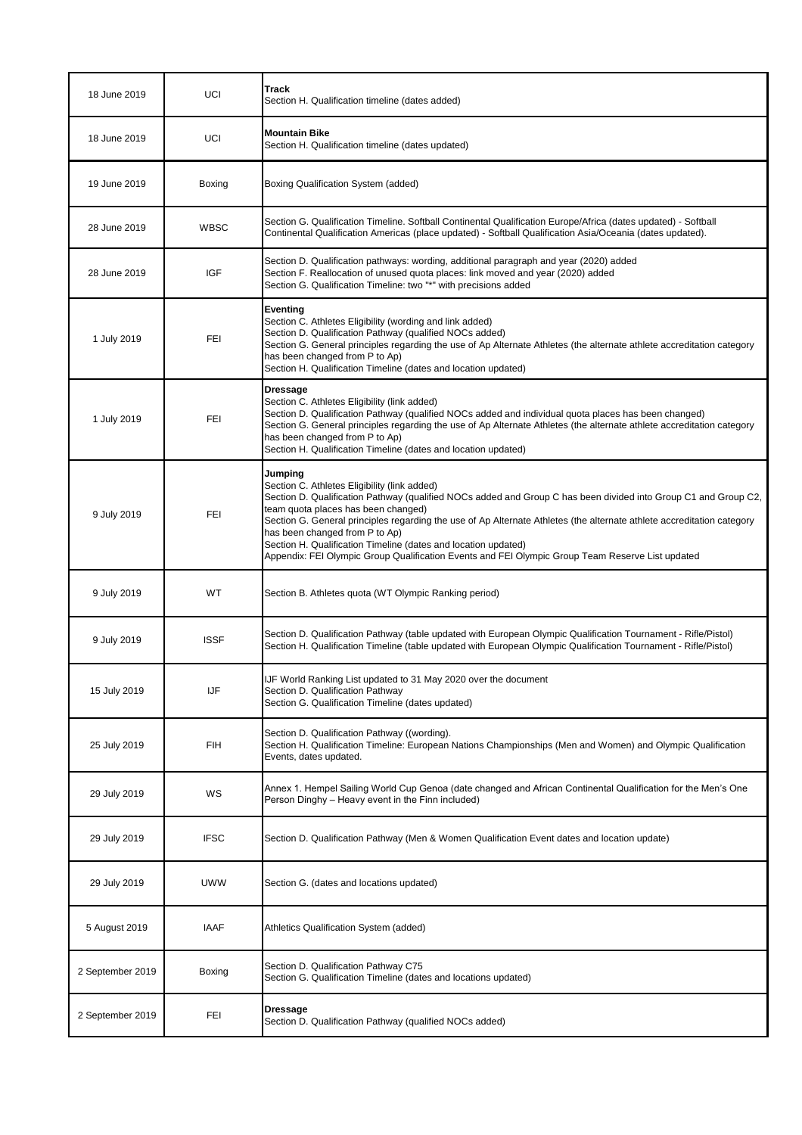| 18 June 2019 | <b>UCI</b>  | <b>Track</b><br>Section H. Qualification timeline (dates added)                                                                                                                                                                                                                                                                                                                                                                                                                                                                                     |
|--------------|-------------|-----------------------------------------------------------------------------------------------------------------------------------------------------------------------------------------------------------------------------------------------------------------------------------------------------------------------------------------------------------------------------------------------------------------------------------------------------------------------------------------------------------------------------------------------------|
| 18 June 2019 | UCI         | <b>Mountain Bike</b><br>Section H. Qualification timeline (dates updated)                                                                                                                                                                                                                                                                                                                                                                                                                                                                           |
| 19 June 2019 | Boxing      | Boxing Qualification System (added)                                                                                                                                                                                                                                                                                                                                                                                                                                                                                                                 |
| 28 June 2019 | <b>WBSC</b> | Section G. Qualification Timeline. Softball Continental Qualification Europe/Africa (dates updated) - Softball<br>Continental Qualification Americas (place updated) - Softball Qualification Asia/Oceania (dates updated).                                                                                                                                                                                                                                                                                                                         |
| 28 June 2019 | <b>IGF</b>  | Section D. Qualification pathways: wording, additional paragraph and year (2020) added<br>Section F. Reallocation of unused quota places: link moved and year (2020) added<br>Section G. Qualification Timeline: two "*" with precisions added                                                                                                                                                                                                                                                                                                      |
| 1 July 2019  | <b>FEI</b>  | <b>Eventing</b><br>Section C. Athletes Eligibility (wording and link added)<br>Section D. Qualification Pathway (qualified NOCs added)<br>Section G. General principles regarding the use of Ap Alternate Athletes (the alternate athlete accreditation category<br>has been changed from P to Ap)<br>Section H. Qualification Timeline (dates and location updated)                                                                                                                                                                                |
| 1 July 2019  | <b>FEI</b>  | <b>Dressage</b><br>Section C. Athletes Eligibility (link added)<br>Section D. Qualification Pathway (qualified NOCs added and individual quota places has been changed)<br>Section G. General principles regarding the use of Ap Alternate Athletes (the alternate athlete accreditation category<br>has been changed from P to Ap)<br>Section H. Qualification Timeline (dates and location updated)                                                                                                                                               |
| 9 July 2019  | <b>FEI</b>  | Jumping<br>Section C. Athletes Eligibility (link added)<br>Section D. Qualification Pathway (qualified NOCs added and Group C has been divided into Group C1 and Group C2,<br>team quota places has been changed)<br>Section G. General principles regarding the use of Ap Alternate Athletes (the alternate athlete accreditation category<br>has been changed from P to Ap)<br>Section H. Qualification Timeline (dates and location updated)<br>Appendix: FEI Olympic Group Qualification Events and FEI Olympic Group Team Reserve List updated |
| 9 July 2019  | <b>WT</b>   | Section B. Athletes quota (WT Olympic Ranking period)                                                                                                                                                                                                                                                                                                                                                                                                                                                                                               |
| 9 July 2019  | <b>ISSF</b> | Section D. Qualification Pathway (table updated with European Olympic Qualification Tournament - Rifle/Pistol)<br>Section H. Qualification Timeline (table updated with European Olympic Qualification Tournament - Rifle/Pistol)                                                                                                                                                                                                                                                                                                                   |
| 15 July 2019 | IJF         | IJF World Ranking List updated to 31 May 2020 over the document<br>Section D. Qualification Pathway<br>Section G. Qualification Timeline (dates updated)                                                                                                                                                                                                                                                                                                                                                                                            |
| 25 July 2019 | <b>FIH</b>  | Section D. Qualification Pathway ((wording).<br>Section H. Qualification Timeline: European Nations Championships (Men and Women) and Olympic Qualification<br>Events, dates updated.                                                                                                                                                                                                                                                                                                                                                               |
| 29 July 2019 | WS          | Annex 1. Hempel Sailing World Cup Genoa (date changed and African Continental Qualification for the Men's One<br>Person Dinghy - Heavy event in the Finn included)                                                                                                                                                                                                                                                                                                                                                                                  |
| 29 July 2019 | <b>IFSC</b> | Section D. Qualification Pathway (Men & Women Qualification Event dates and location update)                                                                                                                                                                                                                                                                                                                                                                                                                                                        |

| 29 July 2019     | <b>UWW</b>  | Section G. (dates and locations updated)                                                                |
|------------------|-------------|---------------------------------------------------------------------------------------------------------|
| 5 August 2019    | <b>IAAF</b> | Athletics Qualification System (added)                                                                  |
| 2 September 2019 | Boxing      | Section D. Qualification Pathway C75<br>Section G. Qualification Timeline (dates and locations updated) |
| 2 September 2019 | <b>FEI</b>  | <b>Dressage</b><br>Section D. Qualification Pathway (qualified NOCs added)                              |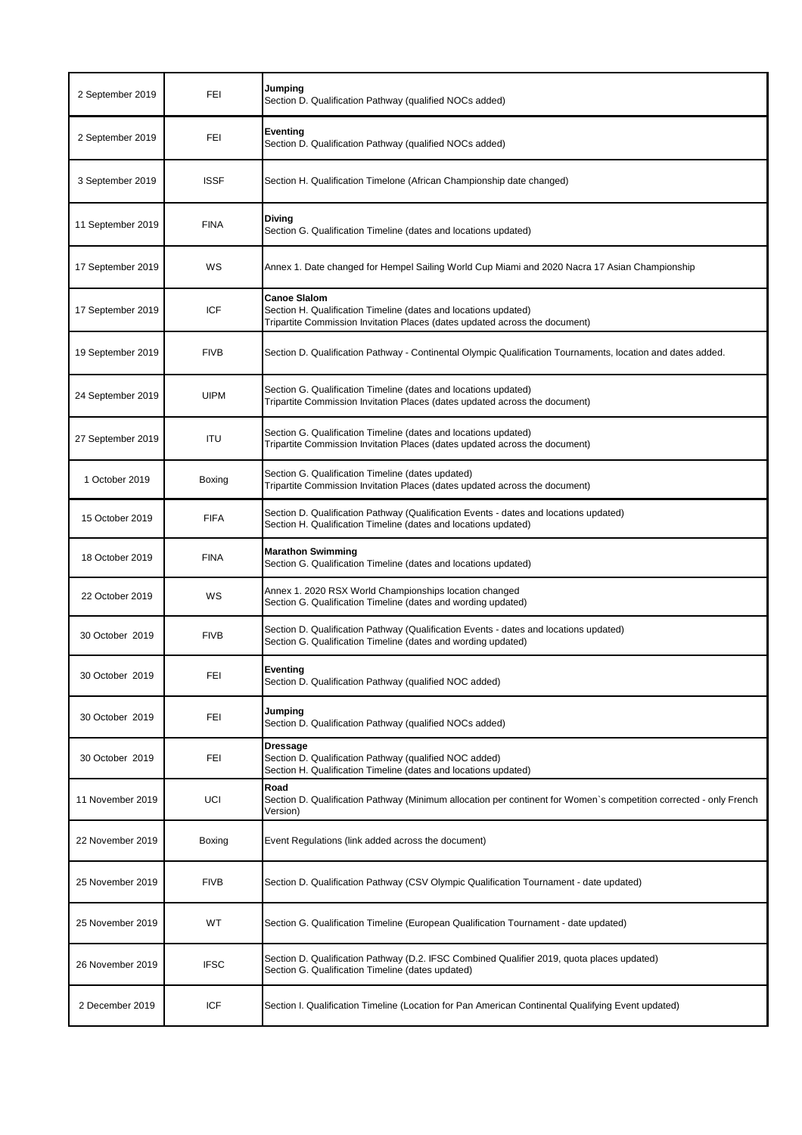| 2 September 2019  | FEI           | Jumping<br>Section D. Qualification Pathway (qualified NOCs added)                                                                                                    |
|-------------------|---------------|-----------------------------------------------------------------------------------------------------------------------------------------------------------------------|
| 2 September 2019  | FEI           | <b>Eventing</b><br>Section D. Qualification Pathway (qualified NOCs added)                                                                                            |
| 3 September 2019  | <b>ISSF</b>   | Section H. Qualification Timelone (African Championship date changed)                                                                                                 |
| 11 September 2019 | <b>FINA</b>   | <b>Diving</b><br>Section G. Qualification Timeline (dates and locations updated)                                                                                      |
| 17 September 2019 | WS            | Annex 1. Date changed for Hempel Sailing World Cup Miami and 2020 Nacra 17 Asian Championship                                                                         |
| 17 September 2019 | <b>ICF</b>    | <b>Canoe Slalom</b><br>Section H. Qualification Timeline (dates and locations updated)<br>Tripartite Commission Invitation Places (dates updated across the document) |
| 19 September 2019 | <b>FIVB</b>   | Section D. Qualification Pathway - Continental Olympic Qualification Tournaments, location and dates added.                                                           |
| 24 September 2019 | <b>UIPM</b>   | Section G. Qualification Timeline (dates and locations updated)<br>Tripartite Commission Invitation Places (dates updated across the document)                        |
| 27 September 2019 | <b>ITU</b>    | Section G. Qualification Timeline (dates and locations updated)<br>Tripartite Commission Invitation Places (dates updated across the document)                        |
| 1 October 2019    | <b>Boxing</b> | Section G. Qualification Timeline (dates updated)<br>Tripartite Commission Invitation Places (dates updated across the document)                                      |
| 15 October 2019   | <b>FIFA</b>   | Section D. Qualification Pathway (Qualification Events - dates and locations updated)<br>Section H. Qualification Timeline (dates and locations updated)              |
| 18 October 2019   | <b>FINA</b>   | <b>Marathon Swimming</b><br>Section G. Qualification Timeline (dates and locations updated)                                                                           |
| 22 October 2019   | WS            | Annex 1. 2020 RSX World Championships location changed<br>Section G. Qualification Timeline (dates and wording updated)                                               |
| 30 October 2019   | <b>FIVB</b>   | Section D. Qualification Pathway (Qualification Events - dates and locations updated)<br>Section G. Qualification Timeline (dates and wording updated)                |
| 30 October 2019   | <b>FEI</b>    | <b>Eventing</b><br>Section D. Qualification Pathway (qualified NOC added)                                                                                             |
| 30 October 2019   | FEI           | Jumping<br>Section D. Qualification Pathway (qualified NOCs added)                                                                                                    |
| 30 October 2019   | <b>FEI</b>    | <b>Dressage</b><br>Section D. Qualification Pathway (qualified NOC added)<br>Section H. Qualification Timeline (dates and locations updated)                          |
| 11 November 2019  | UCI           | Road<br>Section D. Qualification Pathway (Minimum allocation per continent for Women's competition corrected - only French<br>Version)                                |
| 22 November 2019  | <b>Boxing</b> | Event Regulations (link added across the document)                                                                                                                    |

| 25 November 2019 | <b>FIVB</b> | Section D. Qualification Pathway (CSV Olympic Qualification Tournament - date updated)                                                          |
|------------------|-------------|-------------------------------------------------------------------------------------------------------------------------------------------------|
| 25 November 2019 | <b>WT</b>   | Section G. Qualification Timeline (European Qualification Tournament - date updated)                                                            |
| 26 November 2019 | <b>IFSC</b> | Section D. Qualification Pathway (D.2. IFSC Combined Qualifier 2019, quota places updated)<br>Section G. Qualification Timeline (dates updated) |
| 2 December 2019  | <b>ICF</b>  | Section I. Qualification Timeline (Location for Pan American Continental Qualifying Event updated)                                              |